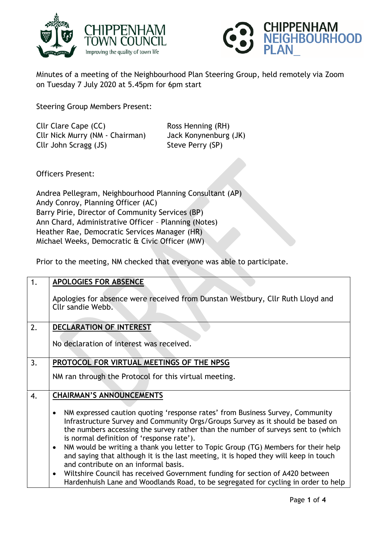



Minutes of a meeting of the Neighbourhood Plan Steering Group, held remotely via Zoom on Tuesday 7 July 2020 at 5.45pm for 6pm start

Steering Group Members Present:

Cllr Clare Cape (CC) Ross Henning (RH) Cllr Nick Murry (NM - Chairman) Jack Konynenburg (JK) Cllr John Scragg (JS) Steve Perry (SP)

Officers Present:

Andrea Pellegram, Neighbourhood Planning Consultant (AP) Andy Conroy, Planning Officer (AC) Barry Pirie, Director of Community Services (BP) Ann Chard, Administrative Officer – Planning (Notes) Heather Rae, Democratic Services Manager (HR) Michael Weeks, Democratic & Civic Officer (MW)

Prior to the meeting, NM checked that everyone was able to participate.

| 1. | <b>APOLOGIES FOR ABSENCE</b>                                                                                                                                                                                                                                                                                                                                                                                                                                                                                                                                                                                                                                                                                                          |
|----|---------------------------------------------------------------------------------------------------------------------------------------------------------------------------------------------------------------------------------------------------------------------------------------------------------------------------------------------------------------------------------------------------------------------------------------------------------------------------------------------------------------------------------------------------------------------------------------------------------------------------------------------------------------------------------------------------------------------------------------|
|    | Apologies for absence were received from Dunstan Westbury, Cllr Ruth Lloyd and<br>Cllr sandie Webb.                                                                                                                                                                                                                                                                                                                                                                                                                                                                                                                                                                                                                                   |
| 2. | <b>DECLARATION OF INTEREST</b>                                                                                                                                                                                                                                                                                                                                                                                                                                                                                                                                                                                                                                                                                                        |
|    | No declaration of interest was received.                                                                                                                                                                                                                                                                                                                                                                                                                                                                                                                                                                                                                                                                                              |
| 3. | PROTOCOL FOR VIRTUAL MEETINGS OF THE NPSG                                                                                                                                                                                                                                                                                                                                                                                                                                                                                                                                                                                                                                                                                             |
|    | NM ran through the Protocol for this virtual meeting.                                                                                                                                                                                                                                                                                                                                                                                                                                                                                                                                                                                                                                                                                 |
| 4. | <b>CHAIRMAN'S ANNOUNCEMENTS</b>                                                                                                                                                                                                                                                                                                                                                                                                                                                                                                                                                                                                                                                                                                       |
|    | NM expressed caution quoting 'response rates' from Business Survey, Community<br>$\bullet$<br>Infrastructure Survey and Community Orgs/Groups Survey as it should be based on<br>the numbers accessing the survey rather than the number of surveys sent to (which<br>is normal definition of 'response rate').<br>NM would be writing a thank you letter to Topic Group (TG) Members for their help<br>$\bullet$<br>and saying that although it is the last meeting, it is hoped they will keep in touch<br>and contribute on an informal basis.<br>Wiltshire Council has received Government funding for section of A420 between<br>$\bullet$<br>Hardenhuish Lane and Woodlands Road, to be segregated for cycling in order to help |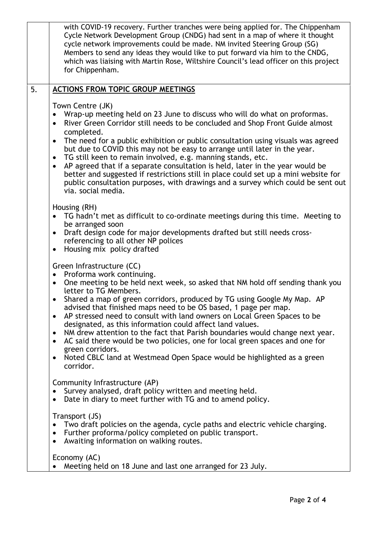|    | with COVID-19 recovery. Further tranches were being applied for. The Chippenham<br>Cycle Network Development Group (CNDG) had sent in a map of where it thought<br>cycle network improvements could be made. NM invited Steering Group (SG)<br>Members to send any ideas they would like to put forward via him to the CNDG,<br>which was liaising with Martin Rose, Wiltshire Council's lead officer on this project<br>for Chippenham.                                                                                                                                                                                                                                                                                                       |
|----|------------------------------------------------------------------------------------------------------------------------------------------------------------------------------------------------------------------------------------------------------------------------------------------------------------------------------------------------------------------------------------------------------------------------------------------------------------------------------------------------------------------------------------------------------------------------------------------------------------------------------------------------------------------------------------------------------------------------------------------------|
| 5. | <b>ACTIONS FROM TOPIC GROUP MEETINGS</b>                                                                                                                                                                                                                                                                                                                                                                                                                                                                                                                                                                                                                                                                                                       |
|    | Town Centre (JK)<br>Wrap-up meeting held on 23 June to discuss who will do what on proformas.<br>River Green Corridor still needs to be concluded and Shop Front Guide almost<br>completed.<br>The need for a public exhibition or public consultation using visuals was agreed<br>$\bullet$<br>but due to COVID this may not be easy to arrange until later in the year.<br>TG still keen to remain involved, e.g. manning stands, etc.<br>AP agreed that if a separate consultation is held, later in the year would be<br>$\bullet$<br>better and suggested if restrictions still in place could set up a mini website for<br>public consultation purposes, with drawings and a survey which could be sent out<br>via. social media.        |
|    | Housing (RH)<br>TG hadn't met as difficult to co-ordinate meetings during this time. Meeting to<br>be arranged soon<br>Draft design code for major developments drafted but still needs cross-<br>referencing to all other NP polices<br>Housing mix policy drafted<br>$\bullet$                                                                                                                                                                                                                                                                                                                                                                                                                                                               |
|    | Green Infrastructure (CC)<br>Proforma work continuing.<br>One meeting to be held next week, so asked that NM hold off sending thank you<br>$\bullet$<br>letter to TG Members.<br>Shared a map of green corridors, produced by TG using Google My Map. AP<br>advised that finished maps need to be OS based, 1 page per map.<br>AP stressed need to consult with land owners on Local Green Spaces to be<br>designated, as this information could affect land values.<br>NM drew attention to the fact that Parish boundaries would change next year.<br>AC said there would be two policies, one for local green spaces and one for<br>green corridors.<br>Noted CBLC land at Westmead Open Space would be highlighted as a green<br>corridor. |
|    | Community Infrastructure (AP)<br>Survey analysed, draft policy written and meeting held.<br>Date in diary to meet further with TG and to amend policy.                                                                                                                                                                                                                                                                                                                                                                                                                                                                                                                                                                                         |
|    | Transport (JS)<br>Two draft policies on the agenda, cycle paths and electric vehicle charging.<br>Further proforma/policy completed on public transport.<br>Awaiting information on walking routes.                                                                                                                                                                                                                                                                                                                                                                                                                                                                                                                                            |
|    | Economy (AC)<br>Meeting held on 18 June and last one arranged for 23 July.                                                                                                                                                                                                                                                                                                                                                                                                                                                                                                                                                                                                                                                                     |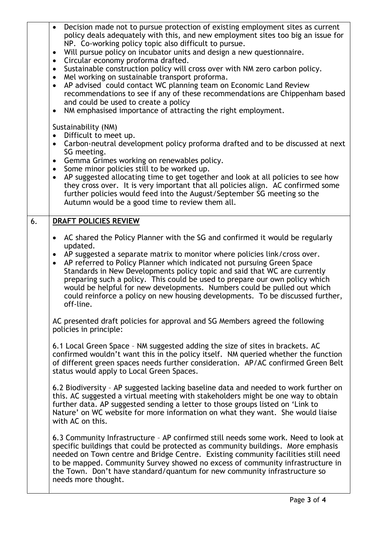|    | Decision made not to pursue protection of existing employment sites as current<br>$\bullet$<br>policy deals adequately with this, and new employment sites too big an issue for<br>NP. Co-working policy topic also difficult to pursue.<br>Will pursue policy on incubator units and design a new questionnaire.<br>$\bullet$<br>Circular economy proforma drafted.<br>$\bullet$<br>Sustainable construction policy will cross over with NM zero carbon policy.<br>$\bullet$<br>Mel working on sustainable transport proforma.<br>$\bullet$<br>AP advised could contact WC planning team on Economic Land Review<br>$\bullet$<br>recommendations to see if any of these recommendations are Chippenham based<br>and could be used to create a policy<br>NM emphasised importance of attracting the right employment.<br>٠                                                                                                                                                                                                                                                                                                                                                                                                                                                                                                                                                         |
|----|------------------------------------------------------------------------------------------------------------------------------------------------------------------------------------------------------------------------------------------------------------------------------------------------------------------------------------------------------------------------------------------------------------------------------------------------------------------------------------------------------------------------------------------------------------------------------------------------------------------------------------------------------------------------------------------------------------------------------------------------------------------------------------------------------------------------------------------------------------------------------------------------------------------------------------------------------------------------------------------------------------------------------------------------------------------------------------------------------------------------------------------------------------------------------------------------------------------------------------------------------------------------------------------------------------------------------------------------------------------------------------|
|    | Sustainability (NM)<br>Difficult to meet up.<br>$\bullet$<br>Carbon-neutral development policy proforma drafted and to be discussed at next<br>$\bullet$<br>SG meeting.<br>Gemma Grimes working on renewables policy.<br>$\bullet$<br>Some minor policies still to be worked up.<br>$\bullet$<br>AP suggested allocating time to get together and look at all policies to see how<br>$\bullet$<br>they cross over. It is very important that all policies align. AC confirmed some<br>further policies would feed into the August/September SG meeting so the<br>Autumn would be a good time to review them all.                                                                                                                                                                                                                                                                                                                                                                                                                                                                                                                                                                                                                                                                                                                                                                   |
| 6. | DRAFT POLICIES REVIEW<br>AC shared the Policy Planner with the SG and confirmed it would be regularly<br>updated.<br>AP suggested a separate matrix to monitor where policies link/cross over.<br>AP referred to Policy Planner which indicated not pursuing Green Space<br>Standards in New Developments policy topic and said that WC are currently<br>preparing such a policy. This could be used to prepare our own policy which<br>would be helpful for new developments. Numbers could be pulled out which<br>could reinforce a policy on new housing developments. To be discussed further,<br>off-line.<br>AC presented draft policies for approval and SG Members agreed the following<br>policies in principle:<br>6.1 Local Green Space - NM suggested adding the size of sites in brackets. AC<br>confirmed wouldn't want this in the policy itself. NM queried whether the function<br>of different green spaces needs further consideration. AP/AC confirmed Green Belt<br>status would apply to Local Green Spaces.<br>6.2 Biodiversity - AP suggested lacking baseline data and needed to work further on<br>this. AC suggested a virtual meeting with stakeholders might be one way to obtain<br>further data. AP suggested sending a letter to those groups listed on 'Link to<br>Nature' on WC website for more information on what they want. She would liaise |
|    | with AC on this.<br>6.3 Community Infrastructure - AP confirmed still needs some work. Need to look at<br>specific buildings that could be protected as community buildings. More emphasis<br>needed on Town centre and Bridge Centre. Existing community facilities still need<br>to be mapped. Community Survey showed no excess of community infrastructure in<br>the Town. Don't have standard/quantum for new community infrastructure so<br>needs more thought.                                                                                                                                                                                                                                                                                                                                                                                                                                                                                                                                                                                                                                                                                                                                                                                                                                                                                                              |